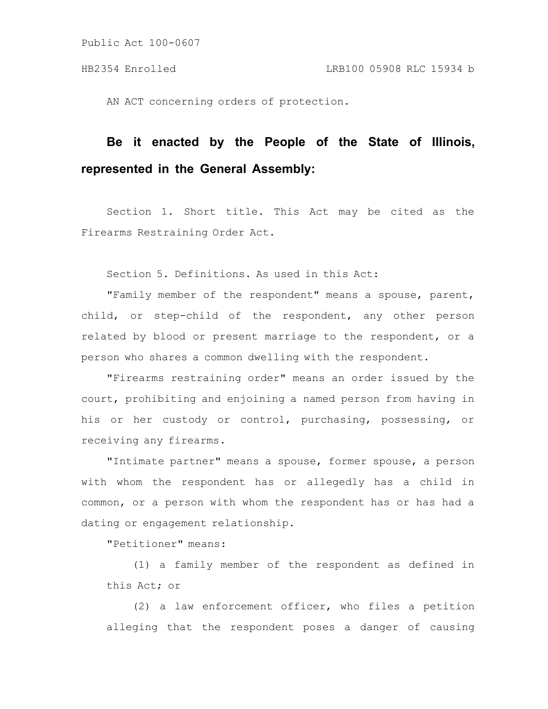AN ACT concerning orders of protection.

# **Be it enacted by the People of the State of Illinois, represented in the General Assembly:**

Section 1. Short title. This Act may be cited as the Firearms Restraining Order Act.

Section 5. Definitions. As used in this Act:

"Family member of the respondent" means a spouse, parent, child, or step-child of the respondent, any other person related by blood or present marriage to the respondent, or a person who shares a common dwelling with the respondent.

"Firearms restraining order" means an order issued by the court, prohibiting and enjoining a named person from having in his or her custody or control, purchasing, possessing, or receiving any firearms.

"Intimate partner" means a spouse, former spouse, a person with whom the respondent has or allegedly has a child in common, or a person with whom the respondent has or has had a dating or engagement relationship.

"Petitioner" means:

(1) a family member of the respondent as defined in this Act; or

(2) a law enforcement officer, who files a petition alleging that the respondent poses a danger of causing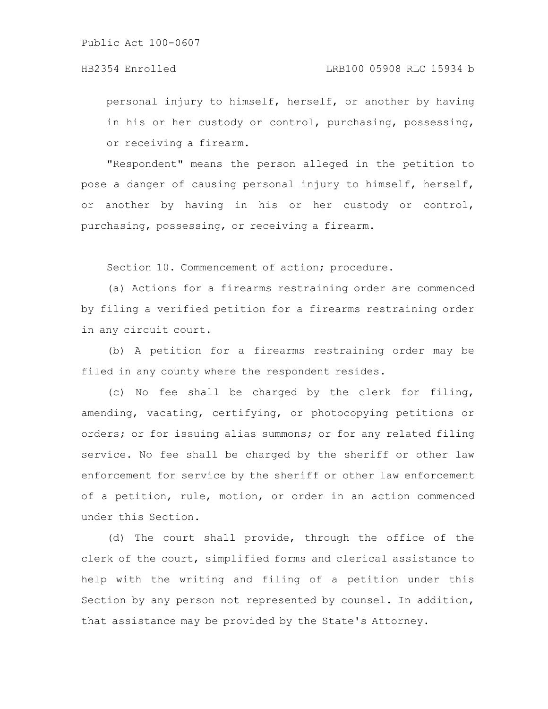personal injury to himself, herself, or another by having in his or her custody or control, purchasing, possessing, or receiving a firearm.

"Respondent" means the person alleged in the petition to pose a danger of causing personal injury to himself, herself, or another by having in his or her custody or control, purchasing, possessing, or receiving a firearm.

Section 10. Commencement of action; procedure.

(a) Actions for a firearms restraining order are commenced by filing a verified petition for a firearms restraining order in any circuit court.

(b) A petition for a firearms restraining order may be filed in any county where the respondent resides.

(c) No fee shall be charged by the clerk for filing, amending, vacating, certifying, or photocopying petitions or orders; or for issuing alias summons; or for any related filing service. No fee shall be charged by the sheriff or other law enforcement for service by the sheriff or other law enforcement of a petition, rule, motion, or order in an action commenced under this Section.

(d) The court shall provide, through the office of the clerk of the court, simplified forms and clerical assistance to help with the writing and filing of a petition under this Section by any person not represented by counsel. In addition, that assistance may be provided by the State's Attorney.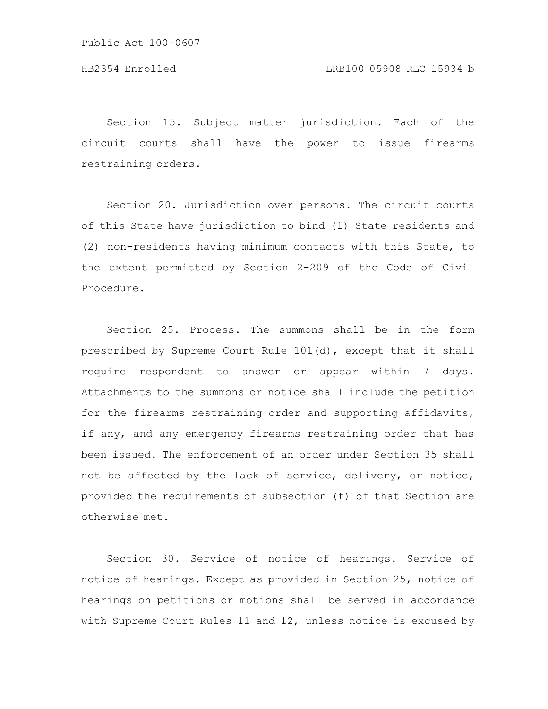Section 15. Subject matter jurisdiction. Each of the circuit courts shall have the power to issue firearms restraining orders.

Section 20. Jurisdiction over persons. The circuit courts of this State have jurisdiction to bind (1) State residents and (2) non-residents having minimum contacts with this State, to the extent permitted by Section 2-209 of the Code of Civil Procedure.

Section 25. Process. The summons shall be in the form prescribed by Supreme Court Rule 101(d), except that it shall require respondent to answer or appear within 7 days. Attachments to the summons or notice shall include the petition for the firearms restraining order and supporting affidavits, if any, and any emergency firearms restraining order that has been issued. The enforcement of an order under Section 35 shall not be affected by the lack of service, delivery, or notice, provided the requirements of subsection (f) of that Section are otherwise met.

Section 30. Service of notice of hearings. Service of notice of hearings. Except as provided in Section 25, notice of hearings on petitions or motions shall be served in accordance with Supreme Court Rules 11 and 12, unless notice is excused by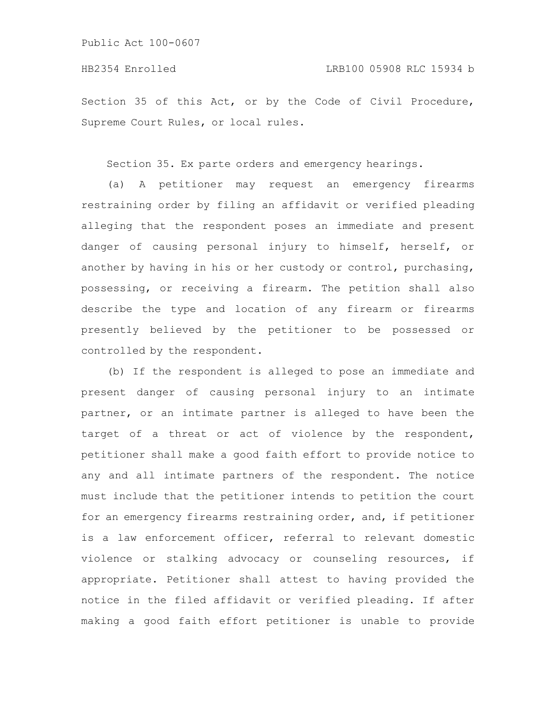Section 35 of this Act, or by the Code of Civil Procedure, Supreme Court Rules, or local rules.

Section 35. Ex parte orders and emergency hearings.

(a) A petitioner may request an emergency firearms restraining order by filing an affidavit or verified pleading alleging that the respondent poses an immediate and present danger of causing personal injury to himself, herself, or another by having in his or her custody or control, purchasing, possessing, or receiving a firearm. The petition shall also describe the type and location of any firearm or firearms presently believed by the petitioner to be possessed or controlled by the respondent.

(b) If the respondent is alleged to pose an immediate and present danger of causing personal injury to an intimate partner, or an intimate partner is alleged to have been the target of a threat or act of violence by the respondent, petitioner shall make a good faith effort to provide notice to any and all intimate partners of the respondent. The notice must include that the petitioner intends to petition the court for an emergency firearms restraining order, and, if petitioner is a law enforcement officer, referral to relevant domestic violence or stalking advocacy or counseling resources, if appropriate. Petitioner shall attest to having provided the notice in the filed affidavit or verified pleading. If after making a good faith effort petitioner is unable to provide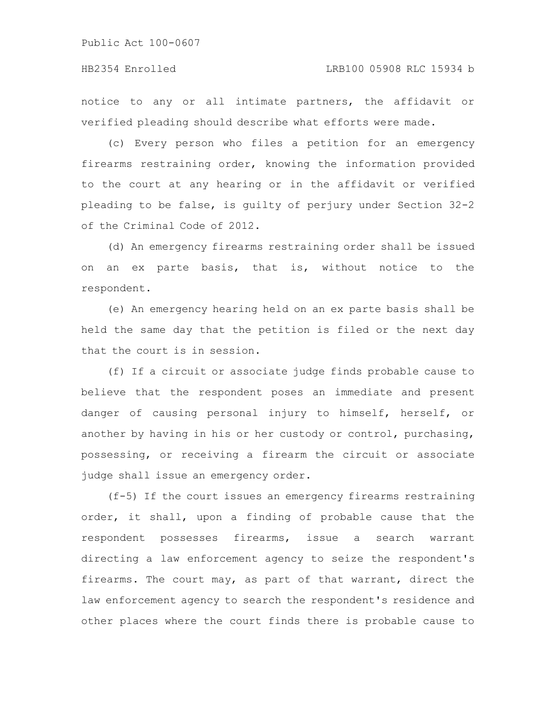### HB2354 Enrolled LRB100 05908 RLC 15934 b

notice to any or all intimate partners, the affidavit or verified pleading should describe what efforts were made.

(c) Every person who files a petition for an emergency firearms restraining order, knowing the information provided to the court at any hearing or in the affidavit or verified pleading to be false, is guilty of perjury under Section 32-2 of the Criminal Code of 2012.

(d) An emergency firearms restraining order shall be issued on an ex parte basis, that is, without notice to the respondent.

(e) An emergency hearing held on an ex parte basis shall be held the same day that the petition is filed or the next day that the court is in session.

(f) If a circuit or associate judge finds probable cause to believe that the respondent poses an immediate and present danger of causing personal injury to himself, herself, or another by having in his or her custody or control, purchasing, possessing, or receiving a firearm the circuit or associate judge shall issue an emergency order.

(f-5) If the court issues an emergency firearms restraining order, it shall, upon a finding of probable cause that the respondent possesses firearms, issue a search warrant directing a law enforcement agency to seize the respondent's firearms. The court may, as part of that warrant, direct the law enforcement agency to search the respondent's residence and other places where the court finds there is probable cause to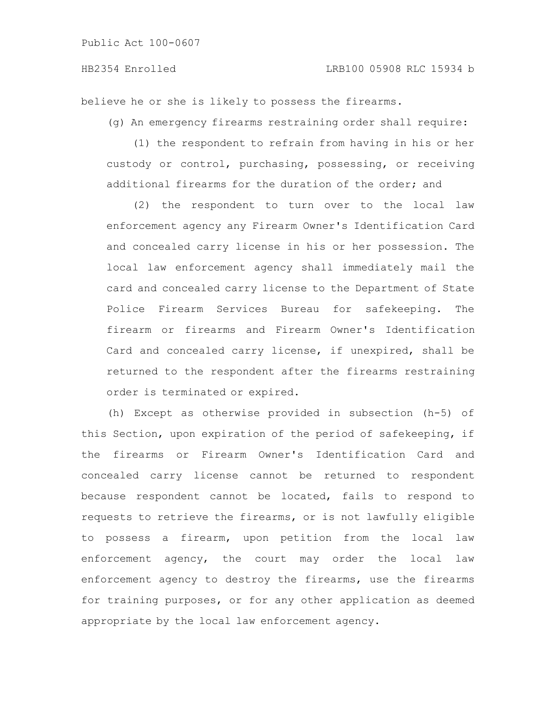believe he or she is likely to possess the firearms.

(g) An emergency firearms restraining order shall require:

(1) the respondent to refrain from having in his or her custody or control, purchasing, possessing, or receiving additional firearms for the duration of the order; and

(2) the respondent to turn over to the local law enforcement agency any Firearm Owner's Identification Card and concealed carry license in his or her possession. The local law enforcement agency shall immediately mail the card and concealed carry license to the Department of State Police Firearm Services Bureau for safekeeping. The firearm or firearms and Firearm Owner's Identification Card and concealed carry license, if unexpired, shall be returned to the respondent after the firearms restraining order is terminated or expired.

(h) Except as otherwise provided in subsection (h-5) of this Section, upon expiration of the period of safekeeping, if the firearms or Firearm Owner's Identification Card and concealed carry license cannot be returned to respondent because respondent cannot be located, fails to respond to requests to retrieve the firearms, or is not lawfully eligible to possess a firearm, upon petition from the local law enforcement agency, the court may order the local law enforcement agency to destroy the firearms, use the firearms for training purposes, or for any other application as deemed appropriate by the local law enforcement agency.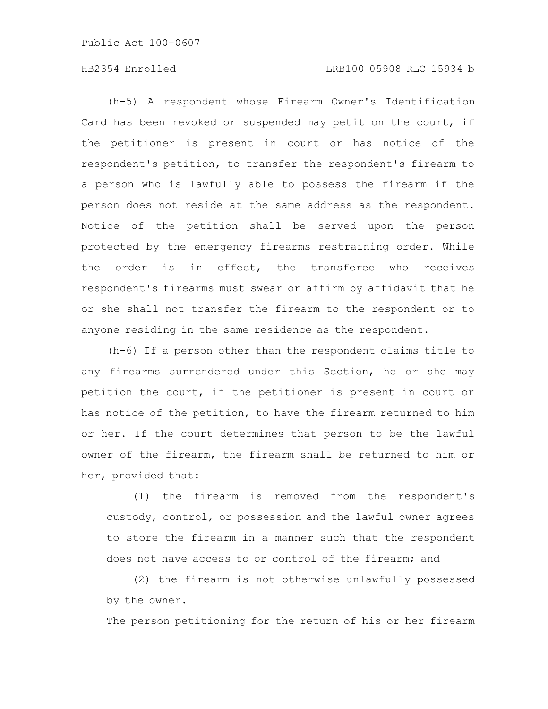# HB2354 Enrolled LRB100 05908 RLC 15934 b

(h-5) A respondent whose Firearm Owner's Identification Card has been revoked or suspended may petition the court, if the petitioner is present in court or has notice of the respondent's petition, to transfer the respondent's firearm to a person who is lawfully able to possess the firearm if the person does not reside at the same address as the respondent. Notice of the petition shall be served upon the person protected by the emergency firearms restraining order. While the order is in effect, the transferee who receives respondent's firearms must swear or affirm by affidavit that he or she shall not transfer the firearm to the respondent or to anyone residing in the same residence as the respondent.

(h-6) If a person other than the respondent claims title to any firearms surrendered under this Section, he or she may petition the court, if the petitioner is present in court or has notice of the petition, to have the firearm returned to him or her. If the court determines that person to be the lawful owner of the firearm, the firearm shall be returned to him or her, provided that:

(1) the firearm is removed from the respondent's custody, control, or possession and the lawful owner agrees to store the firearm in a manner such that the respondent does not have access to or control of the firearm; and

(2) the firearm is not otherwise unlawfully possessed by the owner.

The person petitioning for the return of his or her firearm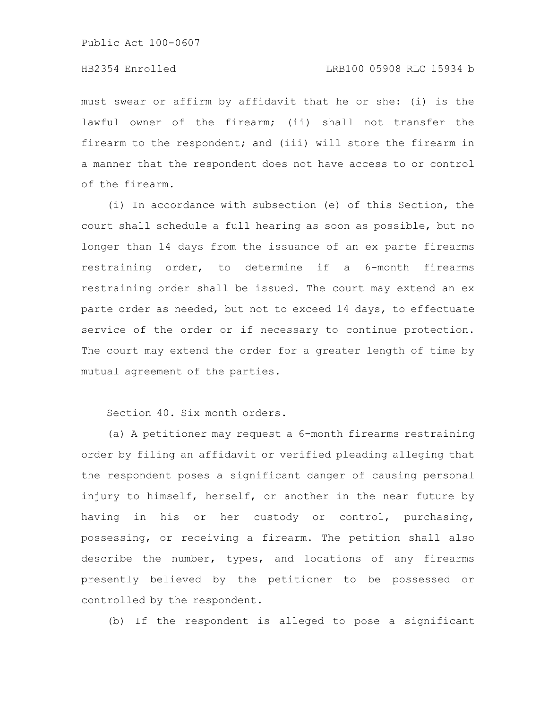# HB2354 Enrolled LRB100 05908 RLC 15934 b

must swear or affirm by affidavit that he or she: (i) is the lawful owner of the firearm; (ii) shall not transfer the firearm to the respondent; and (iii) will store the firearm in a manner that the respondent does not have access to or control of the firearm.

(i) In accordance with subsection (e) of this Section, the court shall schedule a full hearing as soon as possible, but no longer than 14 days from the issuance of an ex parte firearms restraining order, to determine if a 6-month firearms restraining order shall be issued. The court may extend an ex parte order as needed, but not to exceed 14 days, to effectuate service of the order or if necessary to continue protection. The court may extend the order for a greater length of time by mutual agreement of the parties.

Section 40. Six month orders.

(a) A petitioner may request a 6-month firearms restraining order by filing an affidavit or verified pleading alleging that the respondent poses a significant danger of causing personal injury to himself, herself, or another in the near future by having in his or her custody or control, purchasing, possessing, or receiving a firearm. The petition shall also describe the number, types, and locations of any firearms presently believed by the petitioner to be possessed or controlled by the respondent.

(b) If the respondent is alleged to pose a significant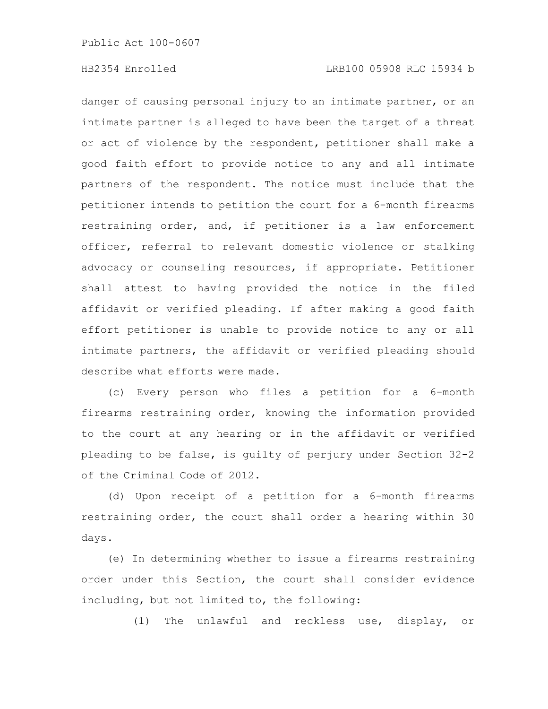danger of causing personal injury to an intimate partner, or an intimate partner is alleged to have been the target of a threat or act of violence by the respondent, petitioner shall make a good faith effort to provide notice to any and all intimate partners of the respondent. The notice must include that the petitioner intends to petition the court for a 6-month firearms restraining order, and, if petitioner is a law enforcement officer, referral to relevant domestic violence or stalking advocacy or counseling resources, if appropriate. Petitioner shall attest to having provided the notice in the filed affidavit or verified pleading. If after making a good faith effort petitioner is unable to provide notice to any or all intimate partners, the affidavit or verified pleading should describe what efforts were made.

(c) Every person who files a petition for a 6-month firearms restraining order, knowing the information provided to the court at any hearing or in the affidavit or verified pleading to be false, is guilty of perjury under Section 32-2 of the Criminal Code of 2012.

(d) Upon receipt of a petition for a 6-month firearms restraining order, the court shall order a hearing within 30 days.

(e) In determining whether to issue a firearms restraining order under this Section, the court shall consider evidence including, but not limited to, the following:

(1) The unlawful and reckless use, display, or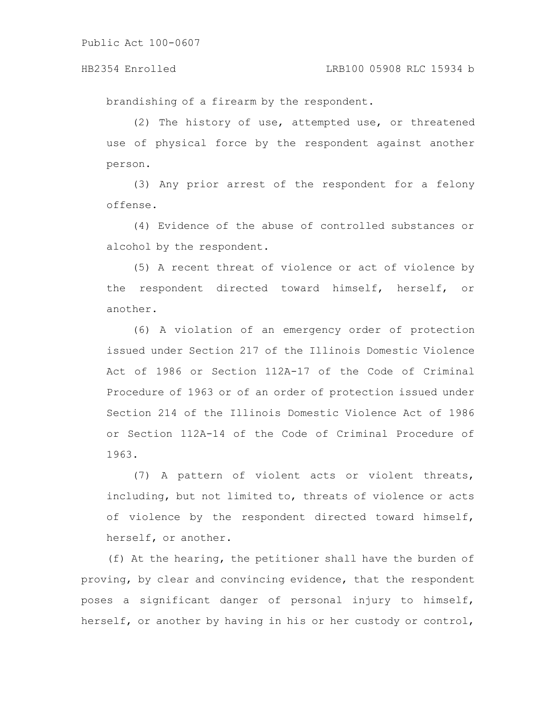brandishing of a firearm by the respondent.

(2) The history of use, attempted use, or threatened use of physical force by the respondent against another person.

(3) Any prior arrest of the respondent for a felony offense.

(4) Evidence of the abuse of controlled substances or alcohol by the respondent.

(5) A recent threat of violence or act of violence by the respondent directed toward himself, herself, or another.

(6) A violation of an emergency order of protection issued under Section 217 of the Illinois Domestic Violence Act of 1986 or Section 112A-17 of the Code of Criminal Procedure of 1963 or of an order of protection issued under Section 214 of the Illinois Domestic Violence Act of 1986 or Section 112A-14 of the Code of Criminal Procedure of 1963.

(7) A pattern of violent acts or violent threats, including, but not limited to, threats of violence or acts of violence by the respondent directed toward himself, herself, or another.

(f) At the hearing, the petitioner shall have the burden of proving, by clear and convincing evidence, that the respondent poses a significant danger of personal injury to himself, herself, or another by having in his or her custody or control,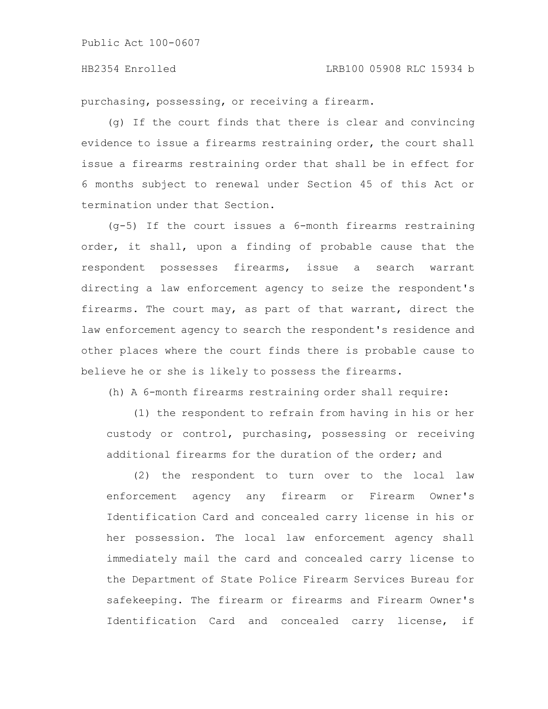# HB2354 Enrolled LRB100 05908 RLC 15934 b

purchasing, possessing, or receiving a firearm.

(g) If the court finds that there is clear and convincing evidence to issue a firearms restraining order, the court shall issue a firearms restraining order that shall be in effect for 6 months subject to renewal under Section 45 of this Act or termination under that Section.

(g-5) If the court issues a 6-month firearms restraining order, it shall, upon a finding of probable cause that the respondent possesses firearms, issue a search warrant directing a law enforcement agency to seize the respondent's firearms. The court may, as part of that warrant, direct the law enforcement agency to search the respondent's residence and other places where the court finds there is probable cause to believe he or she is likely to possess the firearms.

(h) A 6-month firearms restraining order shall require:

(1) the respondent to refrain from having in his or her custody or control, purchasing, possessing or receiving additional firearms for the duration of the order; and

(2) the respondent to turn over to the local law enforcement agency any firearm or Firearm Owner's Identification Card and concealed carry license in his or her possession. The local law enforcement agency shall immediately mail the card and concealed carry license to the Department of State Police Firearm Services Bureau for safekeeping. The firearm or firearms and Firearm Owner's Identification Card and concealed carry license, if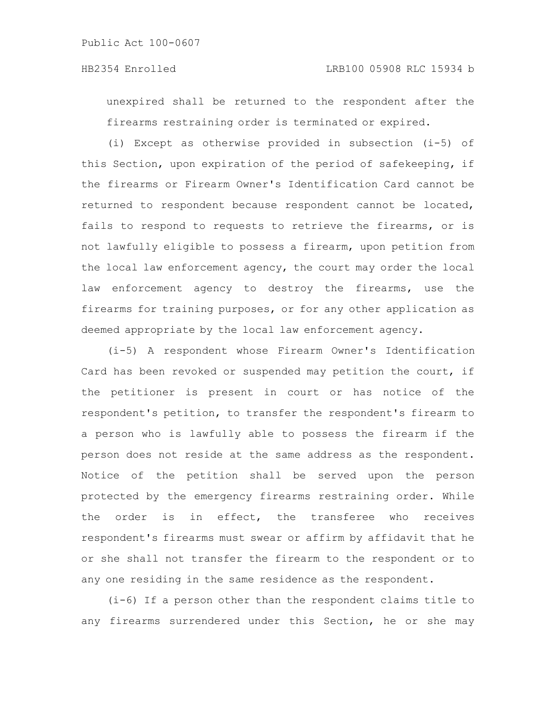unexpired shall be returned to the respondent after the firearms restraining order is terminated or expired.

(i) Except as otherwise provided in subsection (i-5) of this Section, upon expiration of the period of safekeeping, if the firearms or Firearm Owner's Identification Card cannot be returned to respondent because respondent cannot be located, fails to respond to requests to retrieve the firearms, or is not lawfully eligible to possess a firearm, upon petition from the local law enforcement agency, the court may order the local law enforcement agency to destroy the firearms, use the firearms for training purposes, or for any other application as deemed appropriate by the local law enforcement agency.

(i-5) A respondent whose Firearm Owner's Identification Card has been revoked or suspended may petition the court, if the petitioner is present in court or has notice of the respondent's petition, to transfer the respondent's firearm to a person who is lawfully able to possess the firearm if the person does not reside at the same address as the respondent. Notice of the petition shall be served upon the person protected by the emergency firearms restraining order. While the order is in effect, the transferee who receives respondent's firearms must swear or affirm by affidavit that he or she shall not transfer the firearm to the respondent or to any one residing in the same residence as the respondent.

(i-6) If a person other than the respondent claims title to any firearms surrendered under this Section, he or she may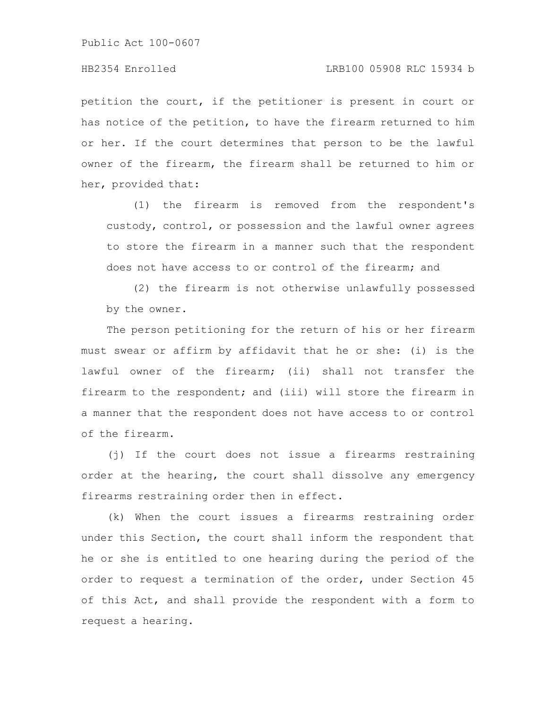petition the court, if the petitioner is present in court or has notice of the petition, to have the firearm returned to him or her. If the court determines that person to be the lawful owner of the firearm, the firearm shall be returned to him or her, provided that:

(1) the firearm is removed from the respondent's custody, control, or possession and the lawful owner agrees to store the firearm in a manner such that the respondent does not have access to or control of the firearm; and

(2) the firearm is not otherwise unlawfully possessed by the owner.

The person petitioning for the return of his or her firearm must swear or affirm by affidavit that he or she: (i) is the lawful owner of the firearm; (ii) shall not transfer the firearm to the respondent; and (iii) will store the firearm in a manner that the respondent does not have access to or control of the firearm.

(j) If the court does not issue a firearms restraining order at the hearing, the court shall dissolve any emergency firearms restraining order then in effect.

(k) When the court issues a firearms restraining order under this Section, the court shall inform the respondent that he or she is entitled to one hearing during the period of the order to request a termination of the order, under Section 45 of this Act, and shall provide the respondent with a form to request a hearing.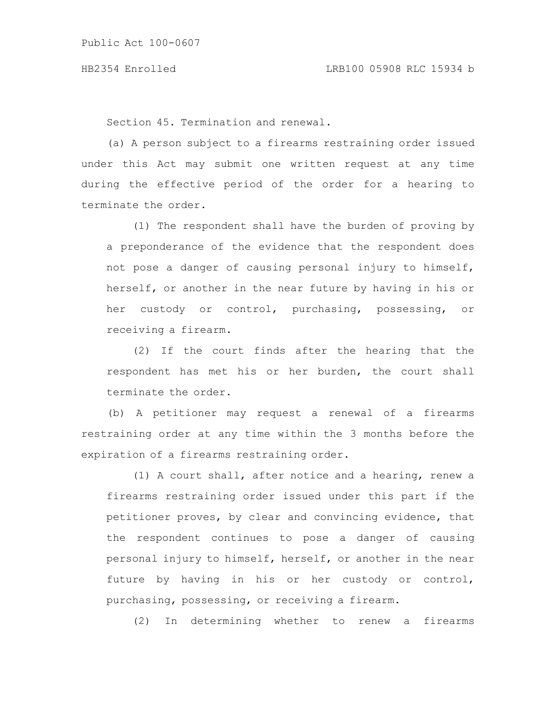Section 45. Termination and renewal.

(a) A person subject to a firearms restraining order issued under this Act may submit one written request at any time during the effective period of the order for a hearing to terminate the order.

(1) The respondent shall have the burden of proving by a preponderance of the evidence that the respondent does not pose a danger of causing personal injury to himself, herself, or another in the near future by having in his or her custody or control, purchasing, possessing, or receiving a firearm.

(2) If the court finds after the hearing that the respondent has met his or her burden, the court shall terminate the order.

(b) A petitioner may request a renewal of a firearms restraining order at any time within the 3 months before the expiration of a firearms restraining order.

(1) A court shall, after notice and a hearing, renew a firearms restraining order issued under this part if the petitioner proves, by clear and convincing evidence, that the respondent continues to pose a danger of causing personal injury to himself, herself, or another in the near future by having in his or her custody or control, purchasing, possessing, or receiving a firearm.

(2) In determining whether to renew a firearms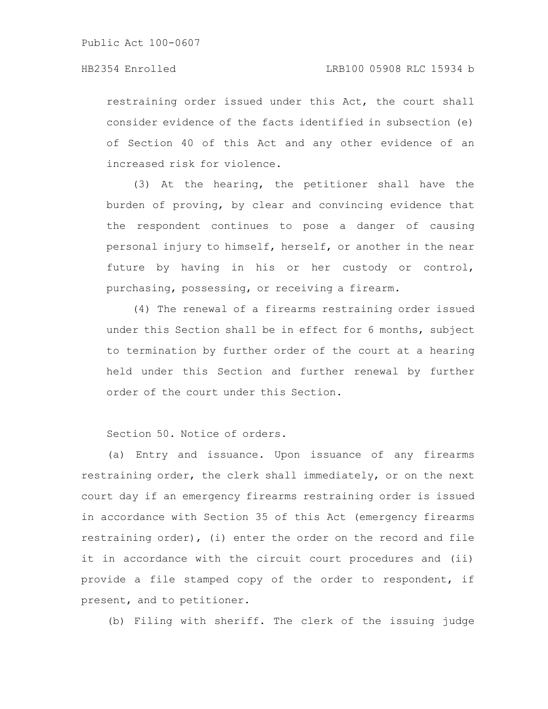restraining order issued under this Act, the court shall consider evidence of the facts identified in subsection (e) of Section 40 of this Act and any other evidence of an increased risk for violence.

(3) At the hearing, the petitioner shall have the burden of proving, by clear and convincing evidence that the respondent continues to pose a danger of causing personal injury to himself, herself, or another in the near future by having in his or her custody or control, purchasing, possessing, or receiving a firearm.

(4) The renewal of a firearms restraining order issued under this Section shall be in effect for 6 months, subject to termination by further order of the court at a hearing held under this Section and further renewal by further order of the court under this Section.

Section 50. Notice of orders.

(a) Entry and issuance. Upon issuance of any firearms restraining order, the clerk shall immediately, or on the next court day if an emergency firearms restraining order is issued in accordance with Section 35 of this Act (emergency firearms restraining order), (i) enter the order on the record and file it in accordance with the circuit court procedures and (ii) provide a file stamped copy of the order to respondent, if present, and to petitioner.

(b) Filing with sheriff. The clerk of the issuing judge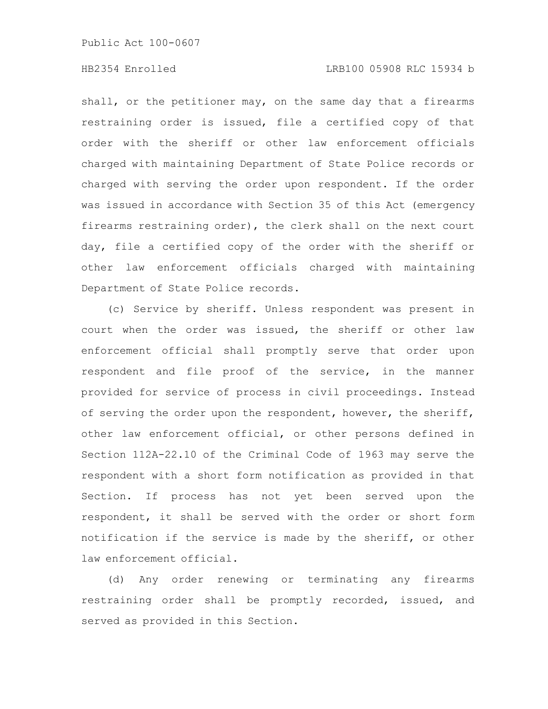# HB2354 Enrolled LRB100 05908 RLC 15934 b

shall, or the petitioner may, on the same day that a firearms restraining order is issued, file a certified copy of that order with the sheriff or other law enforcement officials charged with maintaining Department of State Police records or charged with serving the order upon respondent. If the order was issued in accordance with Section 35 of this Act (emergency firearms restraining order), the clerk shall on the next court day, file a certified copy of the order with the sheriff or other law enforcement officials charged with maintaining Department of State Police records.

(c) Service by sheriff. Unless respondent was present in court when the order was issued, the sheriff or other law enforcement official shall promptly serve that order upon respondent and file proof of the service, in the manner provided for service of process in civil proceedings. Instead of serving the order upon the respondent, however, the sheriff, other law enforcement official, or other persons defined in Section 112A-22.10 of the Criminal Code of 1963 may serve the respondent with a short form notification as provided in that Section. If process has not yet been served upon the respondent, it shall be served with the order or short form notification if the service is made by the sheriff, or other law enforcement official.

(d) Any order renewing or terminating any firearms restraining order shall be promptly recorded, issued, and served as provided in this Section.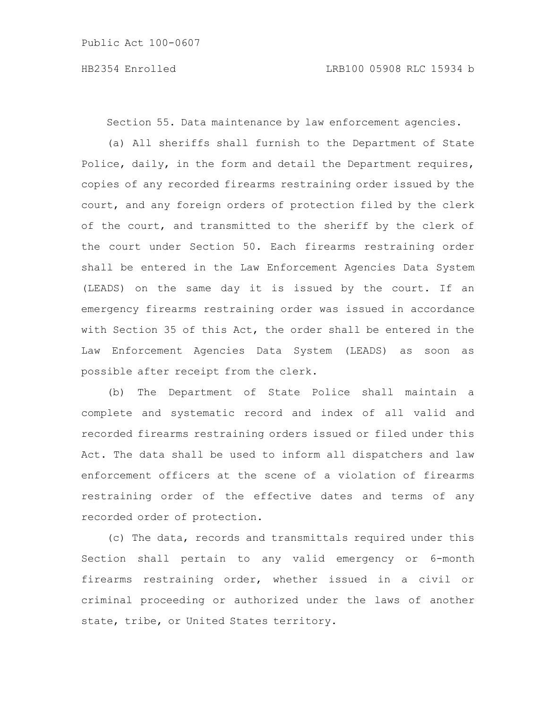Section 55. Data maintenance by law enforcement agencies.

(a) All sheriffs shall furnish to the Department of State Police, daily, in the form and detail the Department requires, copies of any recorded firearms restraining order issued by the court, and any foreign orders of protection filed by the clerk of the court, and transmitted to the sheriff by the clerk of the court under Section 50. Each firearms restraining order shall be entered in the Law Enforcement Agencies Data System (LEADS) on the same day it is issued by the court. If an emergency firearms restraining order was issued in accordance with Section 35 of this Act, the order shall be entered in the Law Enforcement Agencies Data System (LEADS) as soon as possible after receipt from the clerk.

(b) The Department of State Police shall maintain a complete and systematic record and index of all valid and recorded firearms restraining orders issued or filed under this Act. The data shall be used to inform all dispatchers and law enforcement officers at the scene of a violation of firearms restraining order of the effective dates and terms of any recorded order of protection.

(c) The data, records and transmittals required under this Section shall pertain to any valid emergency or 6-month firearms restraining order, whether issued in a civil or criminal proceeding or authorized under the laws of another state, tribe, or United States territory.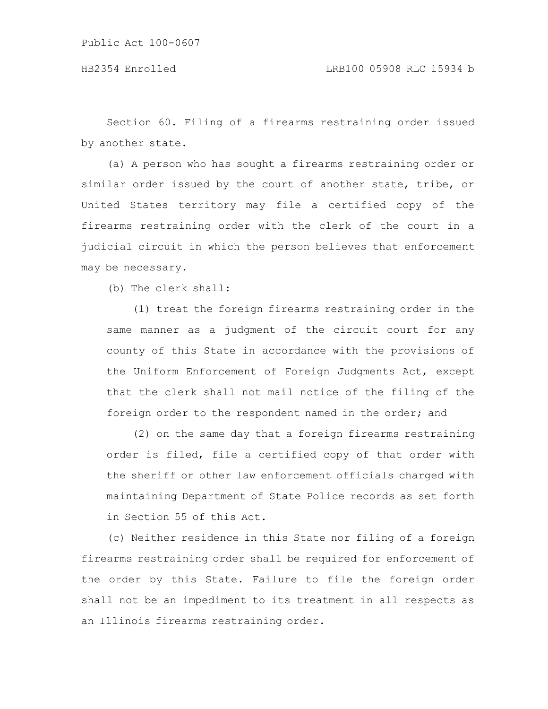Section 60. Filing of a firearms restraining order issued by another state.

(a) A person who has sought a firearms restraining order or similar order issued by the court of another state, tribe, or United States territory may file a certified copy of the firearms restraining order with the clerk of the court in a judicial circuit in which the person believes that enforcement may be necessary.

(b) The clerk shall:

(1) treat the foreign firearms restraining order in the same manner as a judgment of the circuit court for any county of this State in accordance with the provisions of the Uniform Enforcement of Foreign Judgments Act, except that the clerk shall not mail notice of the filing of the foreign order to the respondent named in the order; and

(2) on the same day that a foreign firearms restraining order is filed, file a certified copy of that order with the sheriff or other law enforcement officials charged with maintaining Department of State Police records as set forth in Section 55 of this Act.

(c) Neither residence in this State nor filing of a foreign firearms restraining order shall be required for enforcement of the order by this State. Failure to file the foreign order shall not be an impediment to its treatment in all respects as an Illinois firearms restraining order.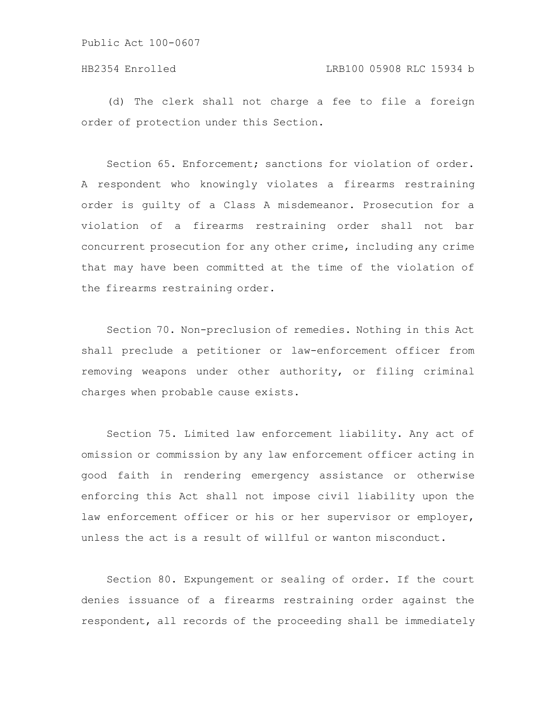(d) The clerk shall not charge a fee to file a foreign order of protection under this Section.

Section 65. Enforcement; sanctions for violation of order. A respondent who knowingly violates a firearms restraining order is guilty of a Class A misdemeanor. Prosecution for a violation of a firearms restraining order shall not bar concurrent prosecution for any other crime, including any crime that may have been committed at the time of the violation of the firearms restraining order.

Section 70. Non-preclusion of remedies. Nothing in this Act shall preclude a petitioner or law-enforcement officer from removing weapons under other authority, or filing criminal charges when probable cause exists.

Section 75. Limited law enforcement liability. Any act of omission or commission by any law enforcement officer acting in good faith in rendering emergency assistance or otherwise enforcing this Act shall not impose civil liability upon the law enforcement officer or his or her supervisor or employer, unless the act is a result of willful or wanton misconduct.

Section 80. Expungement or sealing of order. If the court denies issuance of a firearms restraining order against the respondent, all records of the proceeding shall be immediately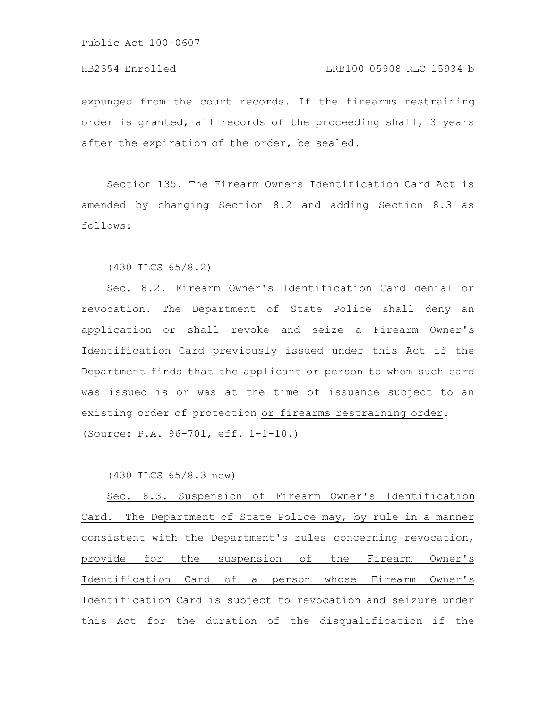### HB2354 Enrolled LRB100 05908 RLC 15934 b

expunged from the court records. If the firearms restraining order is granted, all records of the proceeding shall, 3 years after the expiration of the order, be sealed.

Section 135. The Firearm Owners Identification Card Act is amended by changing Section 8.2 and adding Section 8.3 as follows:

(430 ILCS 65/8.2)

Sec. 8.2. Firearm Owner's Identification Card denial or revocation. The Department of State Police shall deny an application or shall revoke and seize a Firearm Owner's Identification Card previously issued under this Act if the Department finds that the applicant or person to whom such card was issued is or was at the time of issuance subject to an existing order of protection or firearms restraining order. (Source: P.A. 96-701, eff. 1-1-10.)

(430 ILCS 65/8.3 new)

Sec. 8.3. Suspension of Firearm Owner's Identification Card. The Department of State Police may, by rule in a manner consistent with the Department's rules concerning revocation, provide for the suspension of the Firearm Owner's Identification Card of a person whose Firearm Owner's Identification Card is subject to revocation and seizure under this Act for the duration of the disqualification if the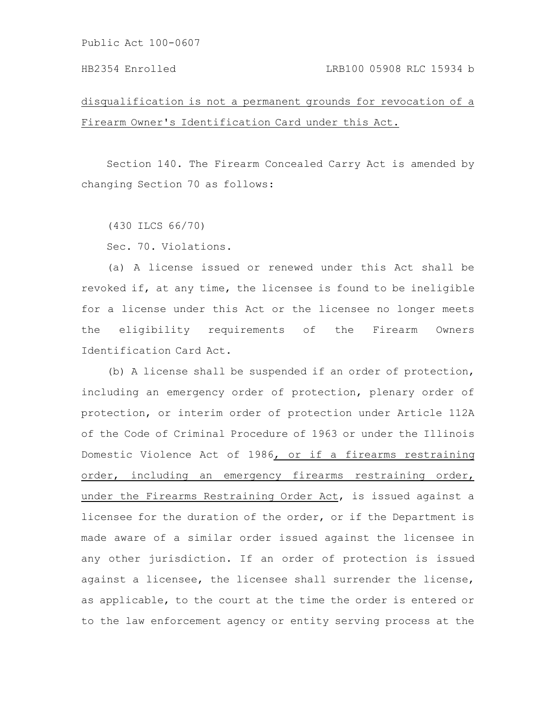# HB2354 Enrolled LRB100 05908 RLC 15934 b

disqualification is not a permanent grounds for revocation of a Firearm Owner's Identification Card under this Act.

Section 140. The Firearm Concealed Carry Act is amended by changing Section 70 as follows:

(430 ILCS 66/70)

Sec. 70. Violations.

(a) A license issued or renewed under this Act shall be revoked if, at any time, the licensee is found to be ineligible for a license under this Act or the licensee no longer meets the eligibility requirements of the Firearm Owners Identification Card Act.

(b) A license shall be suspended if an order of protection, including an emergency order of protection, plenary order of protection, or interim order of protection under Article 112A of the Code of Criminal Procedure of 1963 or under the Illinois Domestic Violence Act of 1986, or if a firearms restraining order, including an emergency firearms restraining order, under the Firearms Restraining Order Act, is issued against a licensee for the duration of the order, or if the Department is made aware of a similar order issued against the licensee in any other jurisdiction. If an order of protection is issued against a licensee, the licensee shall surrender the license, as applicable, to the court at the time the order is entered or to the law enforcement agency or entity serving process at the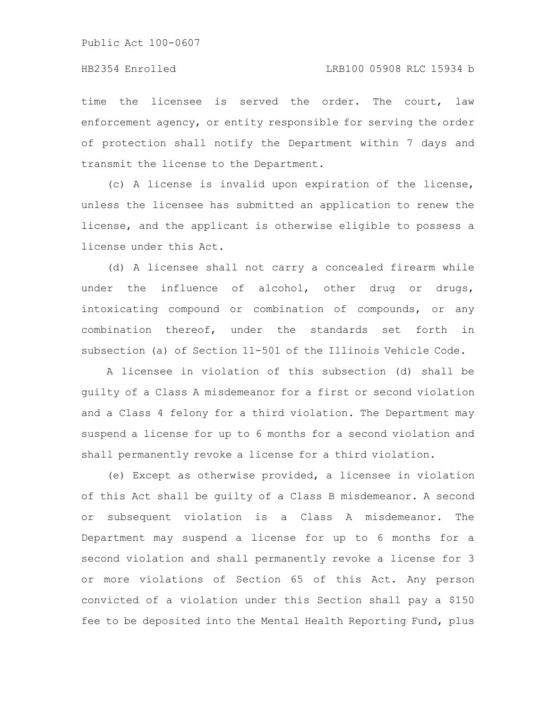### HB2354 Enrolled LRB100 05908 RLC 15934 b

time the licensee is served the order. The court, law enforcement agency, or entity responsible for serving the order of protection shall notify the Department within 7 days and transmit the license to the Department.

(c) A license is invalid upon expiration of the license, unless the licensee has submitted an application to renew the license, and the applicant is otherwise eligible to possess a license under this Act.

(d) A licensee shall not carry a concealed firearm while under the influence of alcohol, other drug or drugs, intoxicating compound or combination of compounds, or any combination thereof, under the standards set forth in subsection (a) of Section 11-501 of the Illinois Vehicle Code.

A licensee in violation of this subsection (d) shall be guilty of a Class A misdemeanor for a first or second violation and a Class 4 felony for a third violation. The Department may suspend a license for up to 6 months for a second violation and shall permanently revoke a license for a third violation.

(e) Except as otherwise provided, a licensee in violation of this Act shall be guilty of a Class B misdemeanor. A second or subsequent violation is a Class A misdemeanor. The Department may suspend a license for up to 6 months for a second violation and shall permanently revoke a license for 3 or more violations of Section 65 of this Act. Any person convicted of a violation under this Section shall pay a \$150 fee to be deposited into the Mental Health Reporting Fund, plus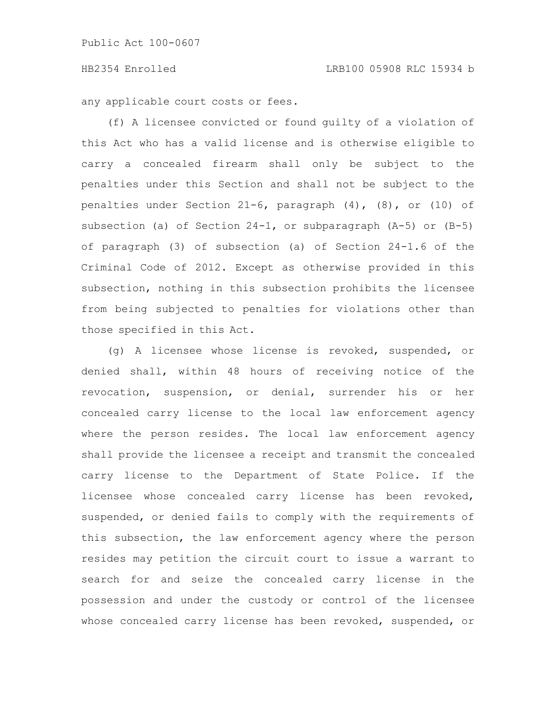any applicable court costs or fees.

(f) A licensee convicted or found guilty of a violation of this Act who has a valid license and is otherwise eligible to carry a concealed firearm shall only be subject to the penalties under this Section and shall not be subject to the penalties under Section 21-6, paragraph  $(4)$ ,  $(8)$ , or  $(10)$  of subsection (a) of Section 24-1, or subparagraph (A-5) or (B-5) of paragraph (3) of subsection (a) of Section 24-1.6 of the Criminal Code of 2012. Except as otherwise provided in this subsection, nothing in this subsection prohibits the licensee from being subjected to penalties for violations other than those specified in this Act.

(g) A licensee whose license is revoked, suspended, or denied shall, within 48 hours of receiving notice of the revocation, suspension, or denial, surrender his or her concealed carry license to the local law enforcement agency where the person resides. The local law enforcement agency shall provide the licensee a receipt and transmit the concealed carry license to the Department of State Police. If the licensee whose concealed carry license has been revoked, suspended, or denied fails to comply with the requirements of this subsection, the law enforcement agency where the person resides may petition the circuit court to issue a warrant to search for and seize the concealed carry license in the possession and under the custody or control of the licensee whose concealed carry license has been revoked, suspended, or